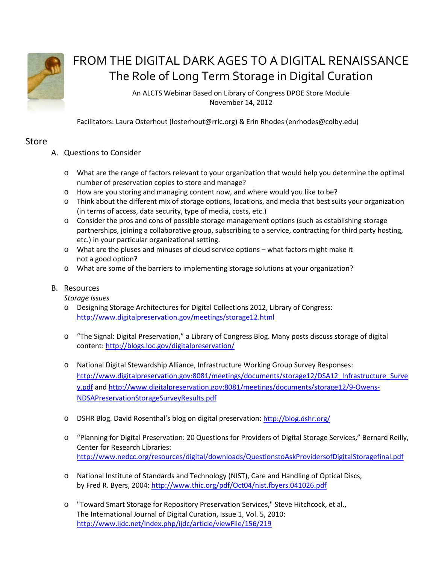

## FROM THE DIGITAL DARK AGES TO A DIGITAL RENAISSANCE The Role of Long Term Storage in Digital Curation

An ALCTS Webinar Based on Library of Congress DPOE Store Module November 14, 2012

Facilitators: Laura Osterhout (losterhout@rrlc.org) & Erin Rhodes (enrhodes@colby.edu)

## Store

- A. Questions to Consider
	- o What are the range of factors relevant to your organization that would help you determine the optimal number of preservation copies to store and manage?
	- o How are you storing and managing content now, and where would you like to be?
	- o Think about the different mix of storage options, locations, and media that best suits your organization (in terms of access, data security, type of media, costs, etc.)
	- o Consider the pros and cons of possible storage management options (such as establishing storage partnerships, joining a collaborative group, subscribing to a service, contracting for third party hosting, etc.) in your particular organizational setting.
	- o What are the pluses and minuses of cloud service options what factors might make it not a good option?
	- o What are some of the barriers to implementing storage solutions at your organization?
- B. Resources

*Storage Issues*

- o Designing Storage Architectures for Digital Collections 2012, Library of Congress: <http://www.digitalpreservation.gov/meetings/storage12.html>
- o "The Signal: Digital Preservation," a Library of Congress Blog. Many posts discuss storage of digital content: <http://blogs.loc.gov/digitalpreservation/>
- o National Digital Stewardship Alliance, Infrastructure Working Group Survey Responses: [http://www.digitalpreservation.gov:8081/meetings/documents/storage12/DSA12\\_Infrastructure\\_Surve](http://www.digitalpreservation.gov:8081/meetings/documents/storage12/DSA12_Infrastructure_Survey.pdf) [y.pdf](http://www.digitalpreservation.gov:8081/meetings/documents/storage12/DSA12_Infrastructure_Survey.pdf) an[d http://www.digitalpreservation.gov:8081/meetings/documents/storage12/9-Owens-](http://www.digitalpreservation.gov:8081/meetings/documents/storage12/9-Owens-NDSAPreservationStorageSurveyResults.pdf)[NDSAPreservationStorageSurveyResults.pdf](http://www.digitalpreservation.gov:8081/meetings/documents/storage12/9-Owens-NDSAPreservationStorageSurveyResults.pdf)
- o DSHR Blog. David Rosenthal's blog on digital preservation:<http://blog.dshr.org/>
- o "Planning for Digital Preservation: 20 Questions for Providers of Digital Storage Services," Bernard Reilly, Center for Research Libraries: <http://www.nedcc.org/resources/digital/downloads/QuestionstoAskProvidersofDigitalStoragefinal.pdf>
- o National Institute of Standards and Technology (NIST), Care and Handling of Optical Discs, by Fred R. Byers, 2004: <http://www.thic.org/pdf/Oct04/nist.fbyers.041026.pdf>
- o "Toward Smart Storage for Repository Preservation Services," Steve Hitchcock, et al., The International Journal of Digital Curation, Issue 1, Vol. 5, 2010: <http://www.ijdc.net/index.php/ijdc/article/viewFile/156/219>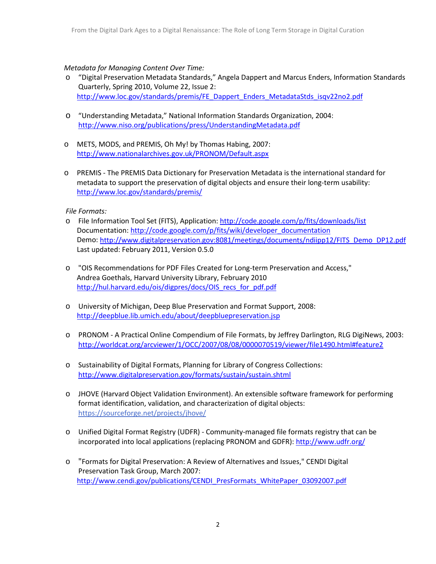## *Metadata for Managing Content Over Time:*

- o "Digital Preservation Metadata Standards," Angela Dappert and Marcus Enders, Information Standards Quarterly, Spring 2010, Volume 22, Issue 2: [http://www.loc.gov/standards/premis/FE\\_Dappert\\_Enders\\_MetadataStds\\_isqv22no2.pdf](http://www.loc.gov/standards/premis/FE_Dappert_Enders_MetadataStds_isqv22no2.pdf)
- o "Understanding Metadata," National Information Standards Organization, 2004: <http://www.niso.org/publications/press/UnderstandingMetadata.pdf>
- o METS, MODS, and PREMIS, Oh My! by Thomas Habing, 2007: <http://www.nationalarchives.gov.uk/PRONOM/Default.aspx>
- o PREMIS The PREMIS Data Dictionary for Preservation Metadata is the international standard for metadata to support the preservation of digital objects and ensure their long-term usability: <http://www.loc.gov/standards/premis/>

*File Formats:*

- o File Information Tool Set (FITS), Application: <http://code.google.com/p/fits/downloads/list> Documentation: [http://code.google.com/p/fits/wiki/developer\\_documentation](http://code.google.com/p/fits/wiki/developer_documentation) Demo: [http://www.digitalpreservation.gov:8081/meetings/documents/ndiipp12/FITS\\_Demo\\_DP12.pdf](http://www.digitalpreservation.gov:8081/meetings/documents/ndiipp12/FITS_Demo_DP12.pdf) Last updated: February 2011, Version 0.5.0
- o "OIS Recommendations for PDF Files Created for Long-term Preservation and Access," Andrea Goethals, Harvard University Library, February 2010 http://hul.harvard.edu/ois/digpres/docs/OIS recs for pdf.pdf
- o University of Michigan, Deep Blue Preservation and Format Support, 2008: <http://deepblue.lib.umich.edu/about/deepbluepreservation.jsp>
- o PRONOM A Practical Online Compendium of File Formats, by Jeffrey Darlington, RLG DigiNews, 2003: <http://worldcat.org/arcviewer/1/OCC/2007/08/08/0000070519/viewer/file1490.html#feature2>
- o Sustainability of Digital Formats, Planning for Library of Congress Collections: <http://www.digitalpreservation.gov/formats/sustain/sustain.shtml>
- o JHOVE (Harvard Object Validation Environment). An extensible software framework for performing format identification, validation, and characterization of digital objects: <https://sourceforge.net/projects/jhove/>
- o Unified Digital Format Registry (UDFR) Community-managed file formats registry that can be incorporated into local applications (replacing PRONOM and GDFR)[: http://www.udfr.org/](http://www.udfr.org/)
- o "Formats for Digital Preservation: A Review of Alternatives and Issues," CENDI Digital Preservation Task Group, March 2007: [http://www.cendi.gov/publications/CENDI\\_PresFormats\\_WhitePaper\\_03092007.pdf](http://www.cendi.gov/publications/CENDI_PresFormats_WhitePaper_03092007.pdf)